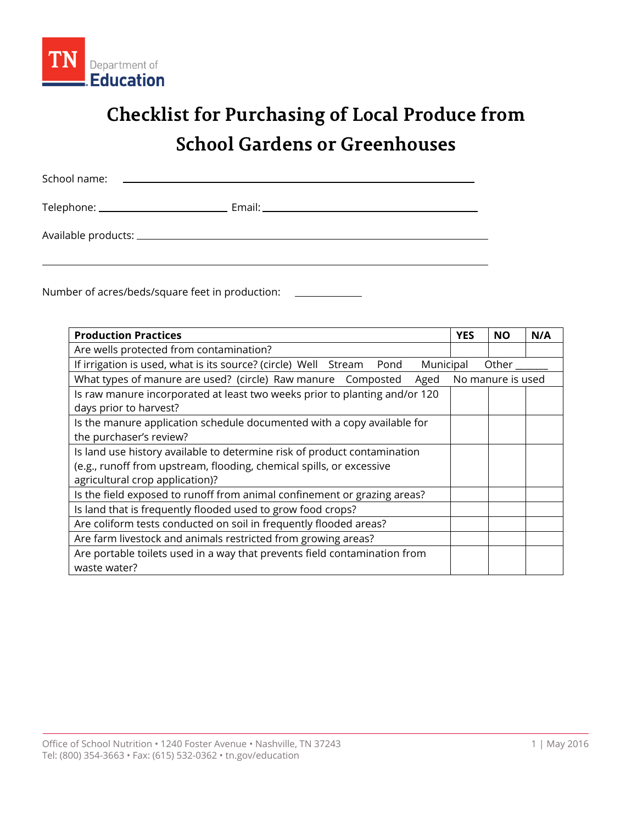

## **Checklist for Purchasing of Local Produce from School Gardens or Greenhouses**

| School name:<br><u> 1989 - Andrea Stadt Britain, amerikansk politik (d. 1989)</u> |  |
|-----------------------------------------------------------------------------------|--|
|                                                                                   |  |
|                                                                                   |  |

Number of acres/beds/square feet in production:

| <b>Production Practices</b>                                                       |  | <b>NO</b>         | N/A |
|-----------------------------------------------------------------------------------|--|-------------------|-----|
| Are wells protected from contamination?                                           |  |                   |     |
| If irrigation is used, what is its source? (circle) Well Stream Pond<br>Municipal |  | Other             |     |
| What types of manure are used? (circle) Raw manure Composted<br>Aged              |  | No manure is used |     |
| Is raw manure incorporated at least two weeks prior to planting and/or 120        |  |                   |     |
| days prior to harvest?                                                            |  |                   |     |
| Is the manure application schedule documented with a copy available for           |  |                   |     |
| the purchaser's review?                                                           |  |                   |     |
| Is land use history available to determine risk of product contamination          |  |                   |     |
| (e.g., runoff from upstream, flooding, chemical spills, or excessive              |  |                   |     |
| agricultural crop application)?                                                   |  |                   |     |
| Is the field exposed to runoff from animal confinement or grazing areas?          |  |                   |     |
| Is land that is frequently flooded used to grow food crops?                       |  |                   |     |
| Are coliform tests conducted on soil in frequently flooded areas?                 |  |                   |     |
| Are farm livestock and animals restricted from growing areas?                     |  |                   |     |
| Are portable toilets used in a way that prevents field contamination from         |  |                   |     |
| waste water?                                                                      |  |                   |     |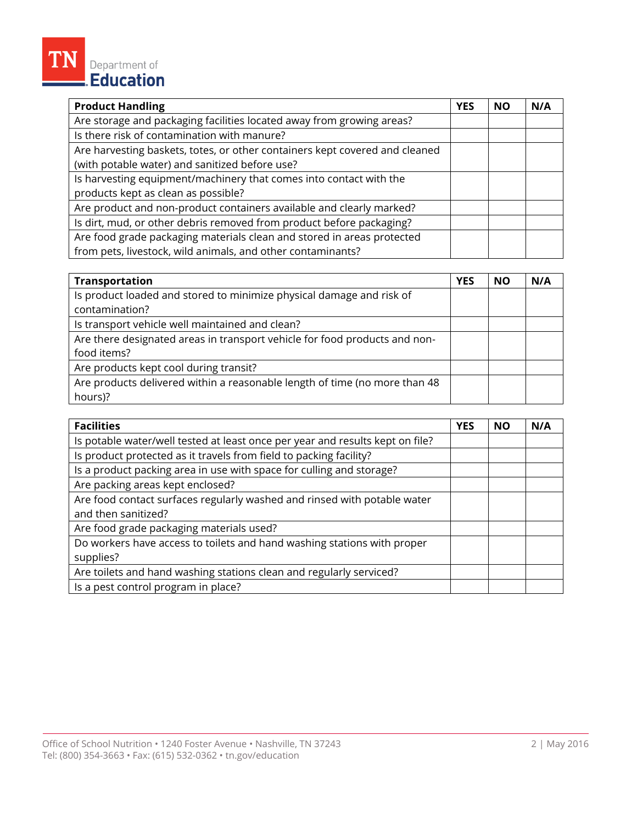## **Product Handling NO N/A** Are storage and packaging facilities located away from growing areas? Is there risk of contamination with manure? Are harvesting baskets, totes, or other containers kept covered and cleaned (with potable water) and sanitized before use? Is harvesting equipment/machinery that comes into contact with the products kept as clean as possible? Are product and non-product containers available and clearly marked? Is dirt, mud, or other debris removed from product before packaging? Are food grade packaging materials clean and stored in areas protected from pets, livestock, wild animals, and other contaminants?

| <b>Transportation</b>                                                      | <b>YES</b> | <b>NO</b> | N/A |
|----------------------------------------------------------------------------|------------|-----------|-----|
| Is product loaded and stored to minimize physical damage and risk of       |            |           |     |
| contamination?                                                             |            |           |     |
| Is transport vehicle well maintained and clean?                            |            |           |     |
| Are there designated areas in transport vehicle for food products and non- |            |           |     |
| food items?                                                                |            |           |     |
| Are products kept cool during transit?                                     |            |           |     |
| Are products delivered within a reasonable length of time (no more than 48 |            |           |     |
| hours)?                                                                    |            |           |     |

| <b>Facilities</b>                                                             | <b>YES</b> | <b>NO</b> | N/A |
|-------------------------------------------------------------------------------|------------|-----------|-----|
| Is potable water/well tested at least once per year and results kept on file? |            |           |     |
| Is product protected as it travels from field to packing facility?            |            |           |     |
| Is a product packing area in use with space for culling and storage?          |            |           |     |
| Are packing areas kept enclosed?                                              |            |           |     |
| Are food contact surfaces regularly washed and rinsed with potable water      |            |           |     |
| and then sanitized?                                                           |            |           |     |
| Are food grade packaging materials used?                                      |            |           |     |
| Do workers have access to toilets and hand washing stations with proper       |            |           |     |
| supplies?                                                                     |            |           |     |
| Are toilets and hand washing stations clean and regularly serviced?           |            |           |     |
| Is a pest control program in place?                                           |            |           |     |